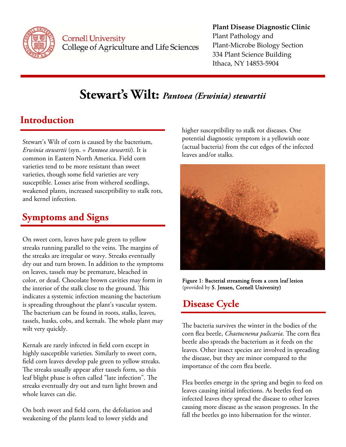

**Cornell University** College of Agriculture and Life Sciences

#### **Plant Disease Diagnostic Clinic** Plant Pathology and Plant‐Microbe Biology Section 334 Plant Science Building Ithaca, NY 14853‐5904

# **Stewart's Wilt:** *Pantoea (Erwinia) stewartii*

## **Introduction**

Stewart's Wilt of corn is caused by the bacterium, *Erwinia stewartii* (syn. = *Pantoea stewartii*). It is common in Eastern North America. Field corn varieties tend to be more resistant than sweet varieties, though some field varieties are very susceptible. Losses arise from withered seedlings, weakened plants, increased susceptibility to stalk rots, and kernel infection.

### **Symptoms and Signs**

On sweet corn, leaves have pale green to yellow streaks running parallel to the veins. The margins of the streaks are irregular or wavy. Streaks eventually dry out and turn brown. In addition to the symptoms on leaves, tassels may be premature, bleached in color, or dead. Chocolate brown cavities may form in the interior of the stalk close to the ground. This indicates a systemic infection meaning the bacterium is spreading throughout the plant's vascular system. The bacterium can be found in roots, stalks, leaves, tassels, husks, cobs, and kernals. The whole plant may wilt very quickly.

Kernals are rarely infected in field corn except in highly susceptible varieties. Similarly to sweet corn, field corn leaves develop pale green to yellow streaks. The streaks usually appear after tassels form, so this leaf blight phase is often called "late infection". The streaks eventually dry out and turn light brown and whole leaves can die.

On both sweet and field corn, the defoliation and weakening of the plants lead to lower yields and

higher susceptibility to stalk rot diseases. One potential diagnostic symptom is a yellowish ooze (actual bacteria) from the cut edges of the infected leaves and/or stalks.



Figure 1: Bacterial streaming from a corn leaf lesion (provided by S. Jensen, Cornell University)

### **Disease Cycle**

The bacteria survives the winter in the bodies of the corn flea beetle, *Chaetocnema pulicaria*. The corn flea beetle also spreads the bacterium as it feeds on the leaves. Other insect species are involved in spreading the disease, but they are minor compared to the importance of the corn flea beetle.

Flea beetles emerge in the spring and begin to feed on leaves causing initial infections. As beetles feed on infected leaves they spread the disease to other leaves causing more disease as the season progresses. In the fall the beetles go into hibernation for the winter.